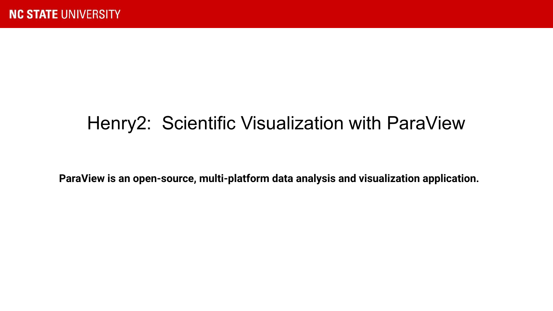### Henry2: Scientific Visualization with ParaView

**ParaView is an open-source, multi-platform data analysis and visualization application.**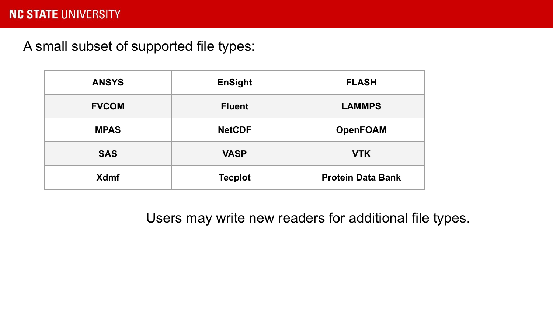A small subset of supported file types:

| <b>ANSYS</b> | <b>EnSight</b> | <b>FLASH</b>             |
|--------------|----------------|--------------------------|
| <b>FVCOM</b> | <b>Fluent</b>  | <b>LAMMPS</b>            |
| <b>MPAS</b>  | <b>NetCDF</b>  | <b>OpenFOAM</b>          |
| <b>SAS</b>   | <b>VASP</b>    | <b>VTK</b>               |
| <b>Xdmf</b>  | <b>Tecplot</b> | <b>Protein Data Bank</b> |

Users may write new readers for additional file types.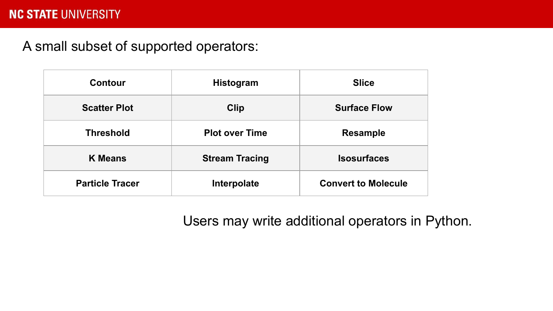A small subset of supported operators:

| Contour                | <b>Histogram</b>      | <b>Slice</b>               |
|------------------------|-----------------------|----------------------------|
| <b>Scatter Plot</b>    | <b>Clip</b>           | <b>Surface Flow</b>        |
| <b>Threshold</b>       | <b>Plot over Time</b> | <b>Resample</b>            |
| <b>K</b> Means         | <b>Stream Tracing</b> | <b>Isosurfaces</b>         |
| <b>Particle Tracer</b> | Interpolate           | <b>Convert to Molecule</b> |

Users may write additional operators in Python.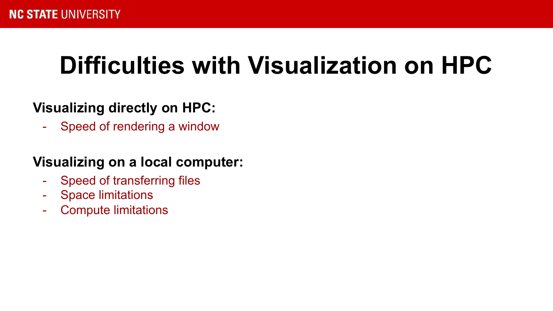# **Difficulties with Visualization on HPC**

### **Visualizing directly on HPC:**

- Speed of rendering a window

### **Visualizing on a local computer:**

- Speed of transferring files
- Space limitations
- Compute limitations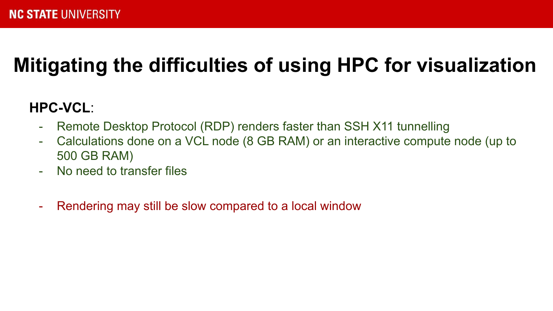## **Mitigating the difficulties of using HPC for visualization**

### **HPC-VCL**:

- Remote Desktop Protocol (RDP) renders faster than SSH X11 tunnelling
- Calculations done on a VCL node (8 GB RAM) or an interactive compute node (up to 500 GB RAM)
- No need to transfer files
- Rendering may still be slow compared to a local window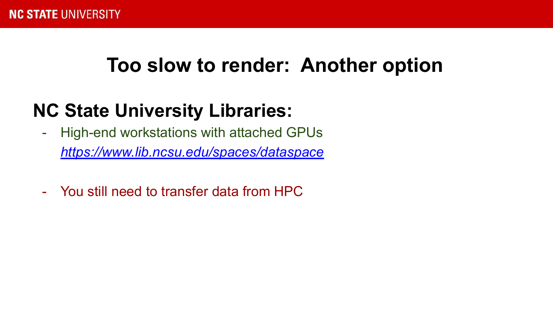## **Too slow to render: Another option**

## **NC State University Libraries:**

- High-end workstations with attached GPUs *<https://www.lib.ncsu.edu/spaces/dataspace>*
- You still need to transfer data from HPC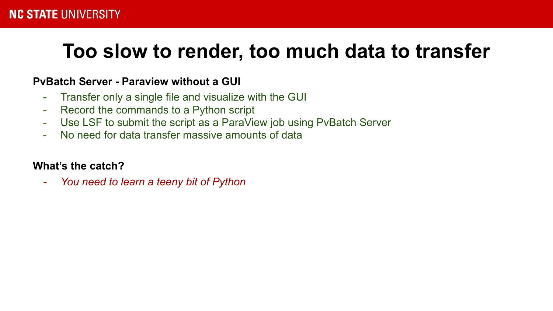## **Too slow to render, too much data to transfer**

#### **PvBatch Server - Paraview without a GUI**

- Transfer only a single file and visualize with the GUI
- Record the commands to a Python script
- Use LSF to submit the script as a ParaView job using PvBatch Server
- No need for data transfer massive amounts of data

#### **What's the catch?**

*- You need to learn a teeny bit of Python*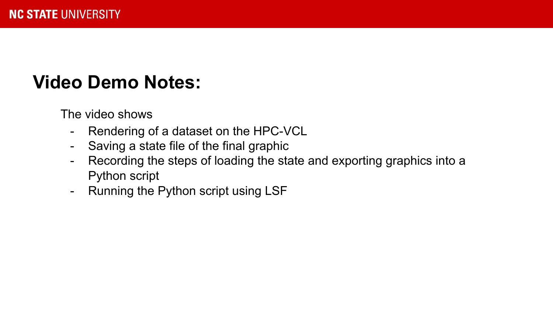## **Video Demo Notes:**

The video shows

- Rendering of a dataset on the HPC-VCL
- Saving a state file of the final graphic
- Recording the steps of loading the state and exporting graphics into a Python script
- Running the Python script using LSF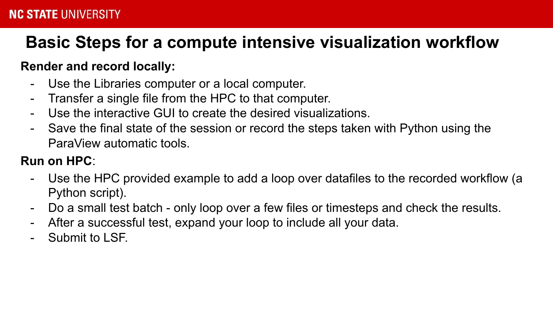### **Basic Steps for a compute intensive visualization workflow**

### **Render and record locally:**

- Use the Libraries computer or a local computer.
- Transfer a single file from the HPC to that computer.
- Use the interactive GUI to create the desired visualizations.
- Save the final state of the session or record the steps taken with Python using the ParaView automatic tools.

### **Run on HPC**:

- Use the HPC provided example to add a loop over datafiles to the recorded workflow (a Python script).
- Do a small test batch only loop over a few files or timesteps and check the results.
- After a successful test, expand your loop to include all your data.
- Submit to LSF.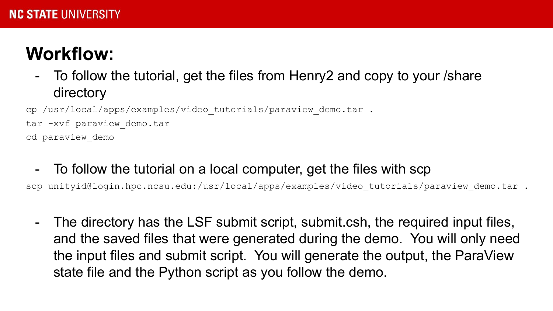## **Workflow:**

- To follow the tutorial, get the files from Henry2 and copy to your /share directory

cp /usr/local/apps/examples/video tutorials/paraview demo.tar .

tar -xvf paraview demo.tar

cd paraview\_demo

- To follow the tutorial on a local computer, get the files with scp

scp unityid@login.hpc.ncsu.edu:/usr/local/apps/examples/video tutorials/paraview demo.tar .

- The directory has the LSF submit script, submit.csh, the required input files, and the saved files that were generated during the demo. You will only need the input files and submit script. You will generate the output, the ParaView state file and the Python script as you follow the demo.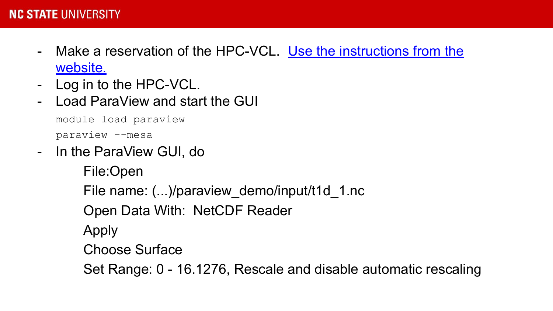- Make a reservation of the HPC-VCL. [Use the instructions from the](https://projects.ncsu.edu/hpc/Documents/GettingStartedvcl.php) [website.](https://projects.ncsu.edu/hpc/Documents/GettingStartedvcl.php)
- Log in to the HPC-VCL.
- Load ParaView and start the GUI

```
module load paraview
paraview --mesa
```
- In the ParaView GUI, do

File:Open File name: (...)/paraview\_demo/input/t1d\_1.nc Open Data With: NetCDF Reader

Apply

Choose Surface

Set Range: 0 - 16.1276, Rescale and disable automatic rescaling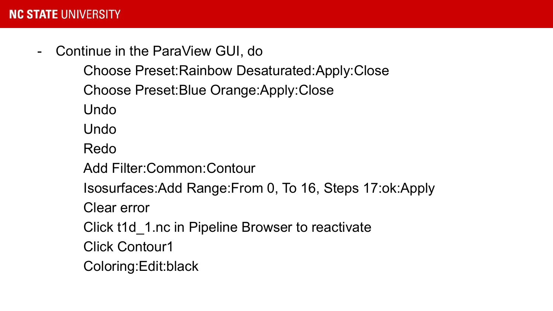- Continue in the ParaView GUI, do

Choose Preset:Rainbow Desaturated:Apply:Close Choose Preset:Blue Orange:Apply:Close

Undo

Undo

Redo

Add Filter:Common:Contour

Isosurfaces:Add Range:From 0, To 16, Steps 17:ok:Apply

Clear error

Click t1d\_1.nc in Pipeline Browser to reactivate

Click Contour1

Coloring:Edit:black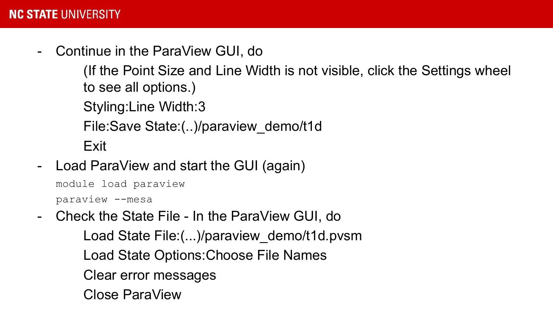- Continue in the ParaView GUI, do

(If the Point Size and Line Width is not visible, click the Settings wheel to see all options.)

Styling:Line Width:3

File:Save State:(..)/paraview\_demo/t1d

Exit

Load ParaView and start the GUI (again)

module load paraview

paraview --mesa

- Check the State File - In the ParaView GUI, do Load State File:(...)/paraview\_demo/t1d.pvsm Load State Options:Choose File Names Clear error messages Close ParaView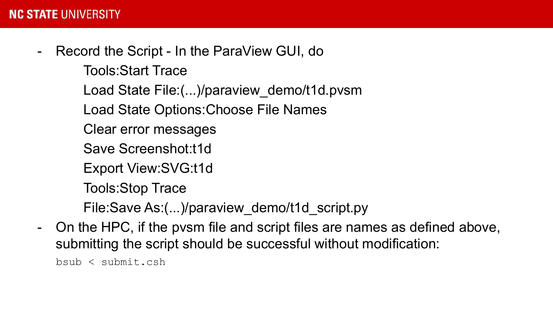Record the Script - In the ParaView GUI, do

Tools:Start Trace

Load State File:(...)/paraview\_demo/t1d.pvsm

Load State Options:Choose File Names

Clear error messages

Save Screenshot:t1d

Export View:SVG:t1d

Tools:Stop Trace

File:Save As:(...)/paraview\_demo/t1d\_script.py

- On the HPC, if the pvsm file and script files are names as defined above, submitting the script should be successful without modification:

bsub < submit.csh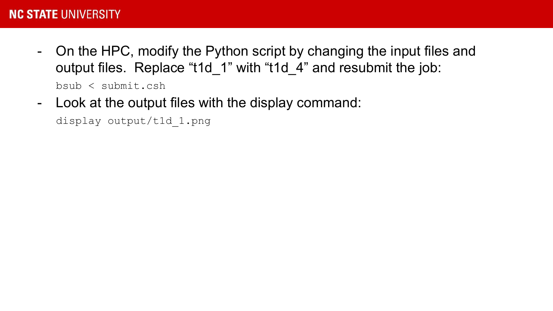- On the HPC, modify the Python script by changing the input files and output files. Replace "t1d\_1" with "t1d\_4" and resubmit the job:

bsub < submit.csh

- Look at the output files with the display command:

display output/t1d\_1.png